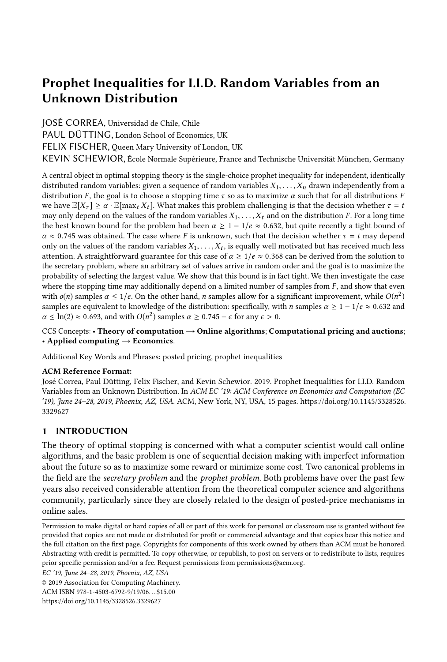# Prophet Inequalities for I.I.D. Random Variables from an Unknown Distribution

JOSÉ CORREA, Universidad de Chile, Chile

PAUL DÜTTING, London School of Economics, UK

FELIX FISCHER, Queen Mary University of London, UK

KEVIN SCHEWIOR, École Normale Supérieure, France and Technische Universität München, Germany

A central object in optimal stopping theory is the single-choice prophet inequality for independent, identically distributed random variables: given a sequence of random variables  $X_1, \ldots, X_n$  drawn independently from a distribution F, the goal is to choose a stopping time  $\tau$  so as to maximize  $\alpha$  such that for all distributions F we have  $\mathbb{E}[X_{\tau}] \geq \alpha \cdot \mathbb{E}[\max_t X_t]$ . What makes this problem challenging is that the decision whether  $\tau = t$ may only depend on the values of the random variables  $X_1, \ldots, X_t$  and on the distribution F. For a long time the best known bound for the problem had been  $\alpha \ge 1 - 1/e \approx 0.632$ , but quite recently a tight bound of  $\alpha \approx 0.745$  was obtained. The case where F is unknown, such that the decision whether  $\tau = t$  may depend only on the values of the random variables  $X_1, \ldots, X_t$ , is equally well motivated but has received much less<br>attention. A straightforward guarantee for this case of  $\alpha > 1/e \approx 0.368$  can be derived from the solution to attention. A straightforward guarantee for this case of  $\alpha \geq 1/e \approx 0.368$  can be derived from the solution to the secretary problem, where an arbitrary set of values arrive in random order and the goal is to maximize the probability of selecting the largest value. We show that this bound is in fact tight. We then investigate the case where the stopping time may additionally depend on a limited number of samples from  $F$ , and show that even with  $o(n)$  samples  $\alpha \leq 1/e$ . On the other hand, *n* samples allow for a significant improvement, while  $O(n^2)$ samples are equivalent to knowledge of the distribution: specifically, with n samples  $\alpha \geq 1 - 1/e \approx 0.632$  and  $\alpha \leq \ln(2) \approx 0.693$ , and with  $O(n^2)$  samples  $\alpha \geq 0.745 - \epsilon$  for any  $\epsilon > 0$ .

## CCS Concepts: • Theory of computation  $\rightarrow$  Online algorithms; Computational pricing and auctions; • Applied computing  $\rightarrow$  Economics.

Additional Key Words and Phrases: posted pricing, prophet inequalities

# ACM Reference Format:

José Correa, Paul Dütting, Felix Fischer, and Kevin Schewior. 2019. Prophet Inequalities for I.I.D. Random Variables from an Unknown Distribution. In ACM EC '19: ACM Conference on Economics and Computation (EC '19), June 24–28, 2019, Phoenix, AZ, USA. ACM, New York, NY, USA, [15](#page-14-0) pages. [https://doi.org/10.1145/3328526.](https://doi.org/10.1145/3328526.3329627) [3329627](https://doi.org/10.1145/3328526.3329627)

# 1 INTRODUCTION

The theory of optimal stopping is concerned with what a computer scientist would call online algorithms, and the basic problem is one of sequential decision making with imperfect information about the future so as to maximize some reward or minimize some cost. Two canonical problems in the field are the *secretary problem* and the *prophet problem*. Both problems have over the past few years also received considerable attention from the theoretical computer science and algorithms community, particularly since they are closely related to the design of posted-price mechanisms in online sales.

© 2019 Association for Computing Machinery.

ACM ISBN 978-1-4503-6792-9/19/06. . . \$15.00

Permission to make digital or hard copies of all or part of this work for personal or classroom use is granted without fee provided that copies are not made or distributed for profit or commercial advantage and that copies bear this notice and the full citation on the first page. Copyrights for components of this work owned by others than ACM must be honored. Abstracting with credit is permitted. To copy otherwise, or republish, to post on servers or to redistribute to lists, requires prior specific permission and/or a fee. Request permissions from permissions@acm.org.

EC '19, June 24–28, 2019, Phoenix, AZ, USA

<https://doi.org/10.1145/3328526.3329627>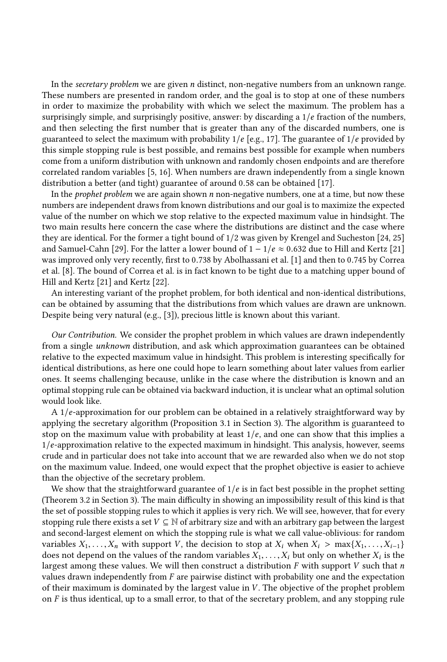In the secretary problem we are given n distinct, non-negative numbers from an unknown range. These numbers are presented in random order, and the goal is to stop at one of these numbers in order to maximize the probability with which we select the maximum. The problem has a surprisingly simple, and surprisingly positive, answer: by discarding a  $1/e$  fraction of the numbers, and then selecting the first number that is greater than any of the discarded numbers, one is guaranteed to select the maximum with probability  $1/e$  [e.g., [17\]](#page-14-1). The guarantee of  $1/e$  provided by this simple stopping rule is best possible, and remains best possible for example when numbers come from a uniform distribution with unknown and randomly chosen endpoints and are therefore correlated random variables [\[5,](#page-14-2) [16\]](#page-14-3). When numbers are drawn independently from a single known distribution a better (and tight) guarantee of around <sup>0</sup>.<sup>58</sup> can be obtained [\[17\]](#page-14-1).

In the *prophet problem* we are again shown  $n$  non-negative numbers, one at a time, but now these numbers are independent draws from known distributions and our goal is to maximize the expected value of the number on which we stop relative to the expected maximum value in hindsight. The two main results here concern the case where the distributions are distinct and the case where they are identical. For the former a tight bound of 1/2 was given by Krengel and Sucheston [\[24,](#page-14-4) [25\]](#page-14-5) and Samuel-Cahn [\[29\]](#page-14-6). For the latter a lower bound of  $1 - 1/e \approx 0.632$  due to Hill and Kertz [\[21\]](#page-14-7) was improved only very recently, first to <sup>0</sup>.<sup>738</sup> by Abolhassani et al. [\[1\]](#page-14-8) and then to <sup>0</sup>.<sup>745</sup> by Correa et al. [\[8\]](#page-14-9). The bound of [Correa et al.](#page-14-9) is in fact known to be tight due to a matching upper bound of Hill and Kertz [\[21\]](#page-14-7) and Kertz [\[22\]](#page-14-10).

An interesting variant of the prophet problem, for both identical and non-identical distributions, can be obtained by assuming that the distributions from which values are drawn are unknown. Despite being very natural (e.g., [\[3\]](#page-14-11)), precious little is known about this variant.

Our Contribution. We consider the prophet problem in which values are drawn independently from a single unknown distribution, and ask which approximation guarantees can be obtained relative to the expected maximum value in hindsight. This problem is interesting specifically for identical distributions, as here one could hope to learn something about later values from earlier ones. It seems challenging because, unlike in the case where the distribution is known and an optimal stopping rule can be obtained via backward induction, it is unclear what an optimal solution would look like.

<sup>A</sup> <sup>1</sup>/e-approximation for our problem can be obtained in a relatively straightforward way by applying the secretary algorithm (Proposition [3.1](#page-4-0) in Section [3\)](#page-4-1). The algorithm is guaranteed to stop on the maximum value with probability at least  $1/e$ , and one can show that this implies a <sup>1</sup>/e-approximation relative to the expected maximum in hindsight. This analysis, however, seems crude and in particular does not take into account that we are rewarded also when we do not stop on the maximum value. Indeed, one would expect that the prophet objective is easier to achieve than the objective of the secretary problem.

We show that the straightforward guarantee of  $1/e$  is in fact best possible in the prophet setting (Theorem [3.2](#page-5-0) in Section [3\)](#page-4-1). The main difficulty in showing an impossibility result of this kind is that the set of possible stopping rules to which it applies is very rich. We will see, however, that for every stopping rule there exists a set  $V \subseteq \mathbb{N}$  of arbitrary size and with an arbitrary gap between the largest and second-largest element on which the stopping rule is what we call value-oblivious: for random variables  $X_1, \ldots, X_n$  with support V, the decision to stop at  $X_i$  when  $X_i > \max\{X_1, \ldots, X_{i-1}\}\$ does not depend on the values of the random variables  $X_1, \ldots, X_i$  but only on whether  $X_i$  is the largest among these values. We will then construct a distribution E with support V such that n largest among these values. We will then construct a distribution  $F$  with support  $V$  such that  $n$ values drawn independently from  $F$  are pairwise distinct with probability one and the expectation of their maximum is dominated by the largest value in V . The objective of the prophet problem on  $F$  is thus identical, up to a small error, to that of the secretary problem, and any stopping rule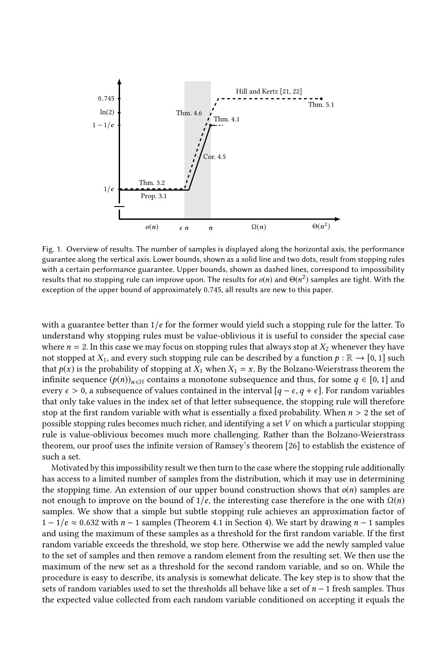

Fig. 1. Overview of results. The number of samples is displayed along the horizontal axis, the performance guarantee along the vertical axis. Lower bounds, shown as a solid line and two dots, result from stopping rules with a certain performance guarantee. Upper bounds, shown as dashed lines, correspond to impossibility results that no stopping rule can improve upon. The results for  $o(n)$  and  $\Theta(n^2)$  samples are tight. With the exception of the upper bound of approximately <sup>0</sup>.745, all results are new to this paper.

with a guarantee better than  $1/e$  for the former would yield such a stopping rule for the latter. To understand why stopping rules must be value-oblivious it is useful to consider the special case where  $n = 2$ . In this case we may focus on stopping rules that always stop at  $X_2$  whenever they have not stopped at  $X_1$ , and every such stopping rule can be described by a function  $p : \mathbb{R} \to [0, 1]$  such that  $p(x)$  is the probability of stopping at  $X_1$  when  $X_1 = x$ . By the Bolzano-Weierstrass theorem the infinite sequence  $(p(n))_{n\in\mathbb{N}}$  contains a monotone subsequence and thus, for some  $q \in [0, 1]$  and every  $\epsilon > 0$ , a subsequence of values contained in the interval  $[q - \epsilon, q + \epsilon]$ . For random variables that only take values in the index set of that letter subsequence, the stopping rule will therefore stop at the first random variable with what is essentially a fixed probability. When  $n > 2$  the set of possible stopping rules becomes much richer, and identifying a set V on which a particular stopping rule is value-oblivious becomes much more challenging. Rather than the Bolzano-Weierstrass theorem, our proof uses the infinite version of Ramsey's theorem [\[26\]](#page-14-12) to establish the existence of such a set.

Motivated by this impossibility result we then turn to the case where the stopping rule additionally has access to a limited number of samples from the distribution, which it may use in determining the stopping time. An extension of our upper bound construction shows that  $o(n)$  samples are not enough to improve on the bound of  $1/e$ , the interesting case therefore is the one with  $\Omega(n)$ samples. We show that a simple but subtle stopping rule achieves an approximation factor of  $1 - 1/e \approx 0.632$  with  $n - 1$  samples (Theorem [4.1](#page-9-0) in Section [4\)](#page-8-0). We start by drawing  $n - 1$  samples and using the maximum of these samples as a threshold for the first random variable. If the first random variable exceeds the threshold, we stop here. Otherwise we add the newly sampled value to the set of samples and then remove a random element from the resulting set. We then use the maximum of the new set as a threshold for the second random variable, and so on. While the procedure is easy to describe, its analysis is somewhat delicate. The key step is to show that the sets of random variables used to set the thresholds all behave like a set of  $n - 1$  fresh samples. Thus the expected value collected from each random variable conditioned on accepting it equals the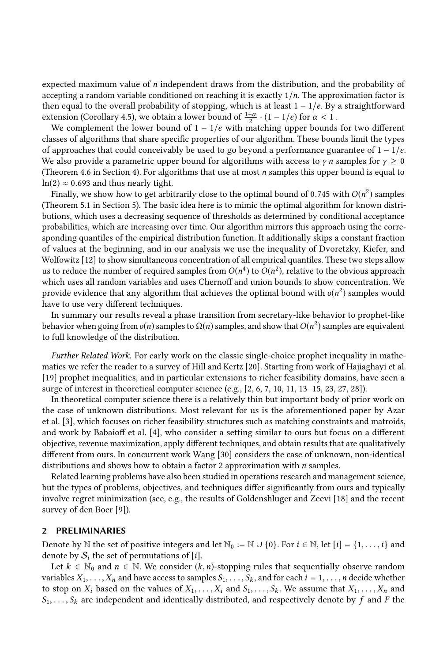expected maximum value of n independent draws from the distribution, and the probability of accepting a random variable conditioned on reaching it is exactly  $1/n$ . The approximation factor is then equal to the overall probability of stopping, which is at least  $1 - 1/e$ . By a straightforward extension (Corollary [4.5\)](#page-12-1), we obtain a lower bound of  $\frac{1+\alpha}{2} \cdot (1-1/e)$  for  $\alpha < 1$ .<br>We complement the lower bound of  $1-1/e$  with matching upper bounds

We complement the lower bound of  $1 - 1/e$  with matching upper bounds for two different classes of algorithms that share specific properties of our algorithm. These bounds limit the types of approaches that could conceivably be used to go beyond a performance guarantee of  $1 - 1/e$ . We also provide a parametric upper bound for algorithms with access to  $\gamma n$  samples for  $\gamma \geq 0$ (Theorem [4.6](#page-12-0) in Section [4\)](#page-8-0). For algorithms that use at most  $n$  samples this upper bound is equal to  $ln(2) \approx 0.693$  and thus nearly tight.

Finally, we show how to get arbitrarily close to the optimal bound of 0.745 with  $O(n^2)$  samples<br>become 5.1 in Section 5). The basic idea here is to mimic the optimal algorithm for known distri-(Theorem [5.1](#page-13-0) in Section [5\)](#page-13-1). The basic idea here is to mimic the optimal algorithm for known distributions, which uses a decreasing sequence of thresholds as determined by conditional acceptance probabilities, which are increasing over time. Our algorithm mirrors this approach using the corresponding quantiles of the empirical distribution function. It additionally skips a constant fraction of values at the beginning, and in our analysis we use the inequality of Dvoretzky, Kiefer, and Wolfowitz [\[12\]](#page-14-13) to show simultaneous concentration of all empirical quantiles. These two steps allow us to reduce the number of required samples from  $O(n^4)$  to  $O(n^2)$ , relative to the obvious approach<br>which uses all random variables and uses Chernoff and union bounds to show concentration. We which uses all random variables and uses Chernoff and union bounds to show concentration. We provide evidence that any algorithm that achieves the optimal bound with  $o(n^2)$  samples would<br>have to use very different techniques have to use very different techniques.

In summary our results reveal a phase transition from secretary-like behavior to prophet-like behavior when going from  $o(n)$  samples to  $\Omega(n)$  samples, and show that  $O(n^2)$  samples are equivalent to full knowledge of the distribution.

Further Related Work. For early work on the classic single-choice prophet inequality in mathematics we refer the reader to a survey of Hill and Kertz [\[20\]](#page-14-14). Starting from work of Hajiaghayi et al. [\[19\]](#page-14-15) prophet inequalities, and in particular extensions to richer feasibility domains, have seen a surge of interest in theoretical computer science (e.g., [\[2,](#page-14-16) [6,](#page-14-17) [7,](#page-14-18) [10,](#page-14-19) [11,](#page-14-20) [13–](#page-14-21)[15,](#page-14-22) [23,](#page-14-23) [27,](#page-14-24) [28\]](#page-14-25)).

In theoretical computer science there is a relatively thin but important body of prior work on the case of unknown distributions. Most relevant for us is the aforementioned paper by Azar et al. [\[3\]](#page-14-11), which focuses on richer feasibility structures such as matching constraints and matroids, and work by Babaioff et al. [\[4\]](#page-14-26), who consider a setting similar to ours but focus on a different objective, revenue maximization, apply different techniques, and obtain results that are qualitatively different from ours. In concurrent work Wang [\[30\]](#page-14-27) considers the case of unknown, non-identical distributions and shows how to obtain a factor 2 approximation with  $n$  samples.

Related learning problems have also been studied in operations research and management science, but the types of problems, objectives, and techniques differ significantly from ours and typically involve regret minimization (see, e.g., the results of Goldenshluger and Zeevi [\[18\]](#page-14-28) and the recent survey of den Boer [\[9\]](#page-14-29)).

#### 2 PRELIMINARIES

Denote by N the set of positive integers and let  $\mathbb{N}_0 := \mathbb{N} \cup \{0\}$ . For  $i \in \mathbb{N}$ , let  $[i] = \{1, \ldots, i\}$  and denote by  $S_i$  the set of permutations of [i].

Let  $k \in \mathbb{N}_0$  and  $n \in \mathbb{N}$ . We consider  $(k, n)$ -stopping rules that sequentially observe random variables  $X_1, \ldots, X_n$  and have access to samples  $S_1, \ldots, S_k$ , and for each  $i = 1, \ldots, n$  decide whether to stop on  $X_i$  based on the values of  $X_1, \ldots, X_i$  and  $S_1, \ldots, S_k$ . We assume that  $X_1, \ldots, X_n$  and  $S_1, \ldots, S_k$  are independent and identically distributed, and respectively denote by f and F the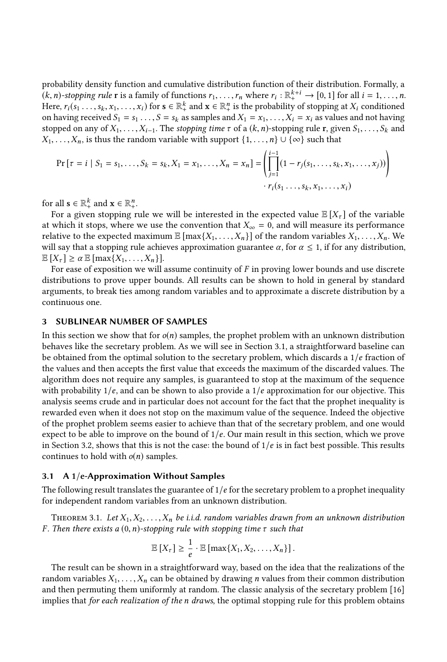probability density function and cumulative distribution function of their distribution. Formally, a  $(k, n)$ -stopping rule **r** is a family of functions  $r_1, \ldots, r_n$  where  $r_i : \mathbb{R}^{k+i} \to [0, 1]$  for all  $i = 1, \ldots, n$ .<br>Here  $r_i$  (see  $r_i$ ,  $r_i$ ,  $r_j$ ) for  $s \in \mathbb{R}^k$  and  $s \in \mathbb{R}^n$  is the probability of stopping at X, Here,  $r_i(s_1, \ldots, s_k, x_1, \ldots, x_i)$  for  $\mathbf{s} \in \mathbb{R}_+^k$  and  $\mathbf{x} \in \mathbb{R}_+^n$  is the probability of stopping at  $X_i$  conditioned<br>on having received  $S_i = s_i$ ,  $s_i$  as samples and  $X_i = x_i$ ,  $X_i = x_i$  as values and not having on having received  $S_1 = s_1 \ldots, S = s_k$  as samples and  $X_1 = x_1, \ldots, X_i = x_i$  as values and not having stopped on any of  $X_1, \ldots, X_{i-1}$ . The stopping time  $\tau$  of a  $(k, n)$ -stopping rule r, given  $S_1, \ldots, S_k$  and  $X_1, \ldots, X_n$ , is thus the random variable with support  $\{1, \ldots, n\} \cup \{\infty\}$  such that

$$
\Pr\left[\tau = i \mid S_1 = s_1, \dots, S_k = s_k, X_1 = x_1, \dots, X_n = x_n\right] = \left(\prod_{j=1}^{i-1} (1 - r_j(s_1, \dots, s_k, x_1, \dots, x_j))\right) \cdot r_i(s_1, \dots, s_k, x_1, \dots, x_i)
$$

for all  $\mathbf{s} \in \mathbb{R}_+^k$  and  $\mathbf{x} \in \mathbb{R}_+^n$ .

For a given stopping rule we will be interested in the expected value  $\mathbb{E}[X_{\tau}]$  of the variable at which it stops, where we use the convention that  $X_{\infty} = 0$ , and will measure its performance relative to the expected maximum  $\mathbb{E} [\max\{X_1, \ldots, X_n\}]$  of the random variables  $X_1, \ldots, X_n$ . We will say that a stopping rule achieves approximation guarantee  $\alpha$ , for  $\alpha \leq 1$ , if for any distribution,  $\mathbb{E}[X_{\tau}] \ge \alpha \mathbb{E}[\max\{X_1, \ldots, X_n\}].$ 

For ease of exposition we will assume continuity of  $F$  in proving lower bounds and use discrete distributions to prove upper bounds. All results can be shown to hold in general by standard arguments, to break ties among random variables and to approximate a discrete distribution by a continuous one.

## <span id="page-4-1"></span>3 SUBLINEAR NUMBER OF SAMPLES

In this section we show that for  $o(n)$  samples, the prophet problem with an unknown distribution behaves like the secretary problem. As we will see in Section [3.1,](#page-4-2) a straightforward baseline can be obtained from the optimal solution to the secretary problem, which discards a  $1/e$  fraction of the values and then accepts the first value that exceeds the maximum of the discarded values. The algorithm does not require any samples, is guaranteed to stop at the maximum of the sequence with probability  $1/e$ , and can be shown to also provide a  $1/e$  approximation for our objective. This analysis seems crude and in particular does not account for the fact that the prophet inequality is rewarded even when it does not stop on the maximum value of the sequence. Indeed the objective of the prophet problem seems easier to achieve than that of the secretary problem, and one would expect to be able to improve on the bound of  $1/e$ . Our main result in this section, which we prove in Section [3.2,](#page-5-1) shows that this is not the case: the bound of  $1/e$  is in fact best possible. This results continues to hold with  $o(n)$  samples.

# <span id="page-4-2"></span>3.1 A 1/e-Approximation Without Samples

The following result translates the guarantee of  $1/e$  for the secretary problem to a prophet inequality for independent random variables from an unknown distribution.

<span id="page-4-0"></span>THEOREM 3.1. Let  $X_1, X_2, \ldots, X_n$  be i.i.d. random variables drawn from an unknown distribution F. Then there exists a  $(0, n)$ -stopping rule with stopping time  $\tau$  such that

$$
\mathbb{E}[X_{\tau}] \geq \frac{1}{e} \cdot \mathbb{E}[\max\{X_1, X_2, \ldots, X_n\}].
$$

e The result can be shown in a straightforward way, based on the idea that the realizations of the random variables  $X_1, \ldots, X_n$  can be obtained by drawing *n* values from their common distribution and then permuting them uniformly at random. The classic analysis of the secretary problem [\[16\]](#page-14-3) implies that for each realization of the n draws, the optimal stopping rule for this problem obtains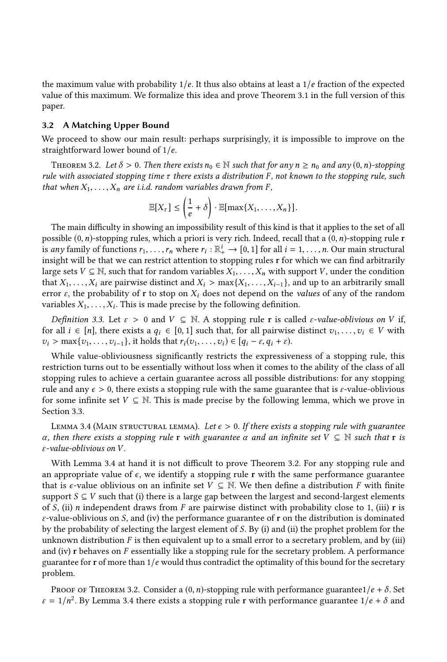the maximum value with probability  $1/e$ . It thus also obtains at least a  $1/e$  fraction of the expected value of this maximum. We formalize this idea and prove Theorem [3.1](#page-4-0) in the full version of this paper.

## <span id="page-5-1"></span>3.2 A Matching Upper Bound

We proceed to show our main result: perhaps surprisingly, it is impossible to improve on the straightforward lower bound of <sup>1</sup>/e.

<span id="page-5-0"></span>THEOREM 3.2. Let  $\delta > 0$ . Then there exists  $n_0 \in \mathbb{N}$  such that for any  $n \ge n_0$  and any  $(0, n)$ -stopping rule with associated stopping time  $\tau$  there exists a distribution F, not known to the stopping rule, such that when  $X_1, \ldots, X_n$  are i.i.d. random variables drawn from F,

$$
\mathbb{E}[X_{\tau}] \leq \left(\frac{1}{e} + \delta\right) \cdot \mathbb{E}[\max\{X_1, \ldots, X_n\}].
$$

e The main difficulty in showing an impossibility result of this kind is that it applies to the set of all possible  $(0, n)$ -stopping rules, which a priori is very rich. Indeed, recall that a  $(0, n)$ -stopping rule **r** is any family of functions  $r_1, \ldots, r_n$  where  $r_i : \mathbb{R}_+^i \to [0, 1]$  for all  $i = 1, \ldots, n$ . Our main structural<br>insight will be that we can restrict attention to stopping rules r for which we can find arbitrarily insight will be that we can restrict attention to stopping rules r for which we can find arbitrarily large sets  $V \subseteq \mathbb{N}$ , such that for random variables  $X_1, \ldots, X_n$  with support V, under the condition that  $X_1, \ldots, X_i$  are pairwise distinct and  $X_i > \max\{X_1, \ldots, X_{i-1}\}$ , and up to an arbitrarily small error  $\varepsilon$ , the probability of r to stop on  $X_i$  does not depend on the values of any of the random variables  $X_1, \ldots, X_i$ . This is made precise by the following definition.

Definition 3.3. Let  $\varepsilon > 0$  and  $V \subseteq \mathbb{N}$ . A stopping rule r is called  $\varepsilon$ -value-oblivious on V if, for all  $i \in [n]$ , there exists a  $q_i \in [0,1]$  such that, for all pairwise distinct  $v_1, \ldots, v_i \in V$  with  $v_i > \max\{v_1, \ldots, v_{i-1}\}\$ , it holds that  $r_i(v_1, \ldots, v_i) \in [q_i - \varepsilon, q_i + \varepsilon)\$ .

While value-obliviousness significantly restricts the expressiveness of a stopping rule, this restriction turns out to be essentially without loss when it comes to the ability of the class of all stopping rules to achieve a certain guarantee across all possible distributions: for any stopping rule and any  $\epsilon > 0$ , there exists a stopping rule with the same guarantee that is  $\epsilon$ -value-oblivious for some infinite set  $V \subseteq \mathbb{N}$ . This is made precise by the following lemma, which we prove in Section [3.3.](#page-7-0)

<span id="page-5-2"></span>LEMMA 3.4 (MAIN STRUCTURAL LEMMA). Let  $\epsilon > 0$ . If there exists a stopping rule with guarantee α, then there exists a stopping rule r with guarantee  $\alpha$  and an infinite set  $V \subseteq \mathbb{N}$  such that r is ε-value-oblivious on V .

With Lemma [3.4](#page-5-2) at hand it is not difficult to prove Theorem [3.2.](#page-5-0) For any stopping rule and an appropriate value of  $\epsilon$ , we identify a stopping rule r with the same performance guarantee that is  $\epsilon$ -value oblivious on an infinite set  $V \subseteq \mathbb{N}$ . We then define a distribution F with finite support  $S \subseteq V$  such that (i) there is a large gap between the largest and second-largest elements of S, (ii) n independent draws from F are pairwise distinct with probability close to 1, (iii) r is  $\varepsilon$ -value-oblivious on S, and (iv) the performance guarantee of r on the distribution is dominated by the probability of selecting the largest element of S. By (i) and (ii) the prophet problem for the unknown distribution  $F$  is then equivalent up to a small error to a secretary problem, and by (iii) and (iv) <sup>r</sup> behaves on F essentially like a stopping rule for the secretary problem. A performance guarantee for r of more than  $1/e$  would thus contradict the optimality of this bound for the secretary problem.

PROOF OF THEOREM [3.2.](#page-5-0) Consider a  $(0, n)$ -stopping rule with performance guarantee1/e +  $\delta$ . Set  $\varepsilon = 1/n^2$ . By Lemma [3.4](#page-5-2) there exists a stopping rule r with performance guarantee  $1/e + \delta$  and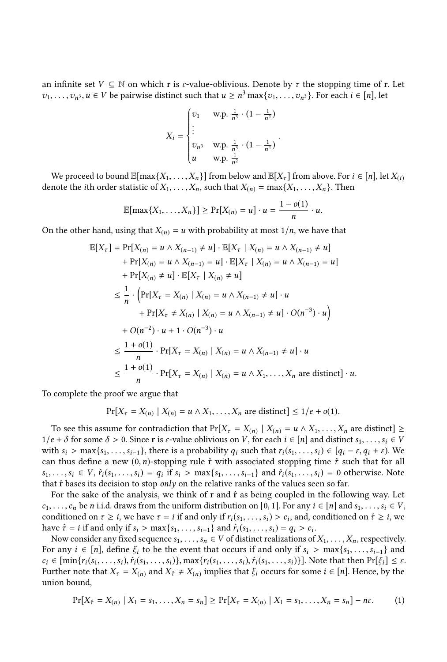an infinite set  $V \subseteq \mathbb{N}$  on which r is  $\varepsilon$ -value-oblivious. Denote by  $\tau$  the stopping time of r. Let  $v_1, \ldots, v_n$ ,  $u \in V$  be pairwise distinct such that  $u \geq n^3 \max\{v_1, \ldots, v_n\}$ . For each  $i \in [n]$ , let

$$
X_{i} = \begin{cases} v_{1} & \text{w.p. } \frac{1}{n^{3}} \cdot (1 - \frac{1}{n^{2}}) \\ \vdots \\ v_{n^{3}} & \text{w.p. } \frac{1}{n^{3}} \cdot (1 - \frac{1}{n^{2}}) \\ u & \text{w.p. } \frac{1}{n^{2}} \end{cases}
$$

We proceed to bound  $\mathbb{E}[\max\{X_1, \ldots, X_n\}]$  from below and  $\mathbb{E}[X_\tau]$  from above. For  $i \in [n]$ , let  $X_{(i)}$ <br>note the ith order statistic of  $X_i$ ,  $X_i$  such that  $X_i$ ,  $\top$  may  $X_i$ ,  $X_i$ ,  $X_i$  Then denote the *i*th order statistic of  $X_1, \ldots, X_n$ , such that  $X_{(n)} = \max\{X_1, \ldots, X_n\}$ . Then

$$
\mathbb{E}[\max\{X_1,\ldots,X_n\}] \geq \Pr[X_{(n)}=u] \cdot u = \frac{1-o(1)}{n} \cdot u.
$$

On the other hand, using that  $X_{(n)} = u$  with probability at most  $1/n$ , we have that

$$
\mathbb{E}[X_{\tau}] = \Pr[X_{(n)} = u \wedge X_{(n-1)} \neq u] \cdot \mathbb{E}[X_{\tau} | X_{(n)} = u \wedge X_{(n-1)} \neq u]
$$
  
+  $\Pr[X_{(n)} = u \wedge X_{(n-1)} = u] \cdot \mathbb{E}[X_{\tau} | X_{(n)} = u \wedge X_{(n-1)} = u]$   
+  $\Pr[X_{(n)} \neq u] \cdot \mathbb{E}[X_{\tau} | X_{(n)} \neq u]$   

$$
\leq \frac{1}{n} \cdot \left( \Pr[X_{\tau} = X_{(n)} | X_{(n)} = u \wedge X_{(n-1)} \neq u] \cdot u + \Pr[X_{\tau} \neq X_{(n)} | X_{(n)} = u \wedge X_{(n-1)} \neq u] \cdot O(n^{-3}) \cdot u \right)
$$
  
+  $O(n^{-2}) \cdot u + 1 \cdot O(n^{-3}) \cdot u$   

$$
\leq \frac{1 + o(1)}{n} \cdot \Pr[X_{\tau} = X_{(n)} | X_{(n)} = u \wedge X_{(n-1)} \neq u] \cdot u
$$
  

$$
\leq \frac{1 + o(1)}{n} \cdot \Pr[X_{\tau} = X_{(n)} | X_{(n)} = u \wedge X_1, \dots, X_n \text{ are distinct}] \cdot u.
$$

n To complete the proof we argue that

$$
\Pr[X_{\tau} = X_{(n)} \mid X_{(n)} = u \wedge X_1, \dots, X_n \text{ are distinct}] \le 1/e + o(1).
$$

To see this assume for contradiction that  $Pr[X_{\tau} = X_{(n)} | X_{(n)} = u \wedge X_1, \ldots, X_n]$  are distinct  $\ge$   $e + \delta$  for some  $\delta > 0$ . Since r is sevalue oblivious on *V*, for each  $i \in [n]$  and distinct  $s_i \in V$  $1/e + \delta$  for some  $\delta > 0$ . Since r is  $\varepsilon$ -value oblivious on V, for each  $i \in [n]$  and distinct  $s_1, \ldots, s_i \in V$ with  $s_i > \max\{s_1, \ldots, s_{i-1}\}\$ , there is a probability  $q_i$  such that  $r_i(s_1, \ldots, s_i) \in [q_i - \varepsilon, q_i + \varepsilon)\$ . We can thus define a new  $(0, n)$ -stopping rule  $\hat{r}$  with associated stopping time  $\hat{r}$  such that for all  $s_1, \ldots, s_i \in V$ ,  $\hat{r}_i(s_1, \ldots, s_i) = q_i$  if  $s_i > \max\{s_1, \ldots, s_{i-1}\}\$  and  $\hat{r}_i(s_1, \ldots, s_i) = 0$  otherwise. Note that  $\hat{r}$  bases its decision to stop only on the relative ranks of the values seen so far.

For the sake of the analysis, we think of  $r$  and  $\hat{r}$  as being coupled in the following way. Let  $c_1, \ldots, c_n$  be n i.i.d. draws from the uniform distribution on [0, 1]. For any  $i \in [n]$  and  $s_1, \ldots, s_i \in V$ , conditioned on  $\tau \ge i$ , we have  $\tau = i$  if and only if  $r_i(s_1, \ldots, s_i) > c_i$ , and, conditioned on  $\hat{\tau} \ge i$ , we have  $\hat{\tau} = i$  if and only if  $s_i > \max\{s_i, \ldots, s_i\}$  and  $\hat{\tau}_i(s_i, \ldots, s_i) = a_i > c_i$ . have  $\hat{\tau} = i$  if and only if  $s_i > \max\{s_1, \ldots, s_{i-1}\}\$  and  $\hat{r}_i(s_1, \ldots, s_i) = q_i > c_i$ .<br>Now consider any fixed sequence  $s_i \in V$  of distinct realizations of

Now consider any fixed sequence  $s_1, \ldots, s_n \in V$  of distinct realizations of  $X_1, \ldots, X_n$ , respectively. For any  $i \in [n]$ , define  $\xi_i$  to be the event that occurs if and only if  $s_i > \max\{s_1, \ldots, s_{i-1}\}\$  and  $c_i \in [\min\{r_i(s_1,\ldots,s_i),\hat{r}_i(s_1,\ldots,s_i)\},\max\{r_i(s_1,\ldots,s_i),\hat{r}_i(s_1,\ldots,s_i)\}].$  Note that then  $\Pr[\xi_i] \leq \varepsilon$ . Further note that  $X_{\tau} = X_{(n)}$  and  $X_{\hat{\tau}} \neq X_{(n)}$  implies that  $\xi_i$  occurs for some  $i \in [n]$ . Hence, by the union bound,

<span id="page-6-0"></span>
$$
\Pr[X_{\hat{\tau}} = X_{(n)} \mid X_1 = s_1, \dots, X_n = s_n] \ge \Pr[X_{\tau} = X_{(n)} \mid X_1 = s_1, \dots, X_n = s_n] - n\epsilon. \tag{1}
$$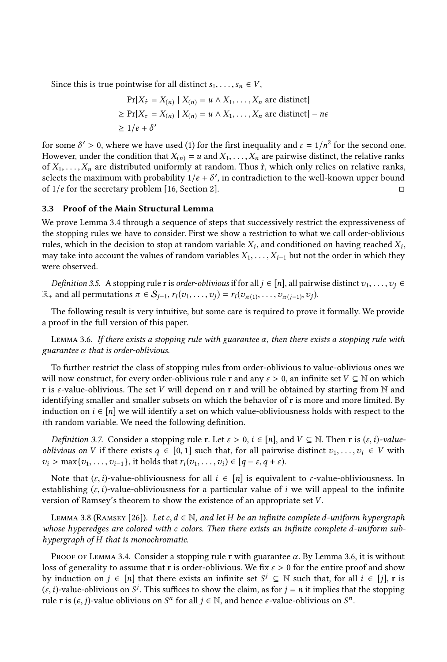Since this is true pointwise for all distinct  $s_1, \ldots, s_n \in V$ ,

$$
\Pr[X_{\hat{\tau}} = X_{(n)} \mid X_{(n)} = u \land X_1, \dots, X_n \text{ are distinct}]
$$
  
\n
$$
\geq \Pr[X_{\tau} = X_{(n)} \mid X_{(n)} = u \land X_1, \dots, X_n \text{ are distinct}] - n\epsilon
$$
  
\n
$$
\geq 1/e + \delta'
$$

for some  $\delta' > 0$ , where we have used [\(1\)](#page-6-0) for the first inequality and  $\varepsilon = 1/n^2$  for the second one.<br>However under the condition that  $X_{\varepsilon} = u$  and  $X_{\varepsilon} = X$  are pairwise distinct, the relative ranks However, under the condition that  $X_{(n)} = u$  and  $X_1, \ldots, X_n$  are pairwise distinct, the relative ranks of  $X_1, \ldots, X_n$  are distributed uniformly at random. Thus  $\hat{r}$ , which only relies on relative ranks, selects the maximum with probability  $1/e + \delta'$ , in contradiction to the well-known upper bound<br>of  $1/e$  for the secretary problem [16, Section 2] of  $1/e$  for the secretary problem [\[16,](#page-14-3) Section 2].

## <span id="page-7-0"></span>3.3 Proof of the Main Structural Lemma

We prove Lemma [3.4](#page-5-2) through a sequence of steps that successively restrict the expressiveness of the stopping rules we have to consider. First we show a restriction to what we call order-oblivious rules, which in the decision to stop at random variable  $X_i$ , and conditioned on having reached  $X_i$ ,  $X_i$ , and  $X_i$ ,  $X_i$ , but not the order in which they may take into account the values of random variables  $X_1, \ldots, X_{i-1}$  but not the order in which they were observed.

*Definition 3.5.* A stopping rule r is *order-oblivious* if for all  $j \in [n]$ , all pairwise distinct  $v_1, \ldots, v_j \in$  $\mathbb{R}_+$  and all permutations  $\pi \in S_{j-1}, r_i(v_1, \ldots, v_j) = r_i(v_{\pi(1)}, \ldots, v_{\pi(j-1)}, v_j).$ 

The following result is very intuitive, but some care is required to prove it formally. We provide a proof in the full version of this paper.

<span id="page-7-1"></span>LEMMA 3.6. If there exists a stopping rule with guarantee  $\alpha$ , then there exists a stopping rule with guarantee  $\alpha$  that is order-oblivious.

To further restrict the class of stopping rules from order-oblivious to value-oblivious ones we will now construct, for every order-oblivious rule r and any  $\varepsilon > 0$ , an infinite set  $V \subseteq \mathbb{N}$  on which r is  $\varepsilon$ -value-oblivious. The set V will depend on r and will be obtained by starting from N and identifying smaller and smaller subsets on which the behavior of r is more and more limited. By induction on  $i \in [n]$  we will identify a set on which value-obliviousness holds with respect to the ith random variable. We need the following definition.

*Definition 3.7.* Consider a stopping rule r. Let  $\varepsilon > 0$ ,  $i \in [n]$ , and  $V \subseteq \mathbb{N}$ . Then r is  $(\varepsilon, i)$ -value*oblivious on V* if there exists  $q \in [0, 1]$  such that, for all pairwise distinct  $v_1, \ldots, v_i \in V$  with  $v_i > \max\{v_1, \ldots, v_{i-1}\}\$ , it holds that  $r_i(v_1, \ldots, v_i) \in [q - \varepsilon, q + \varepsilon)\$ .

Note that  $(\varepsilon, i)$ -value-obliviousness for all  $i \in [n]$  is equivalent to  $\varepsilon$ -value-obliviousness. In establishing  $(\varepsilon, i)$ -value-obliviousness for a particular value of i we will appeal to the infinite version of Ramsey's theorem to show the existence of an appropriate set V .

<span id="page-7-2"></span>LEMMA 3.8 (RAMSEY [\[26\]](#page-14-12)). Let c,  $d \in \mathbb{N}$ , and let H be an infinite complete d-uniform hypergraph whose hyperedges are colored with c colors. Then there exists an infinite complete d-uniform subhypergraph of H that is monochromatic.

PROOF OF LEMMA [3.4.](#page-5-2) Consider a stopping rule r with guarantee  $\alpha$ . By Lemma [3.6,](#page-7-1) it is without loss of generality to assume that r is order-oblivious. We fix  $\varepsilon > 0$  for the entire proof and show by induction on  $j \in [n]$  that there exists an infinite set  $S^j \subseteq \mathbb{N}$  such that, for all  $i \in [j]$ , r is  $(i, j)$ , value-oblivious on  $S^j$ . This suffices to show the claim as for  $i - n$  it implies that the stopping  $(e, i)$ -value-oblivious on S<sup>j</sup>. This suffices to show the claim, as for  $j = n$  it implies that the stopping<br>rule r is  $(e, i)$ -value oblivious on S<sup>n</sup> for all  $i \in \mathbb{N}$  and hence e-value-oblivious on S<sup>n</sup> rule **r** is  $(\epsilon, j)$ -value oblivious on  $S^n$  for all  $j \in \mathbb{N}$ , and hence  $\epsilon$ -value-oblivious on  $S^n$ .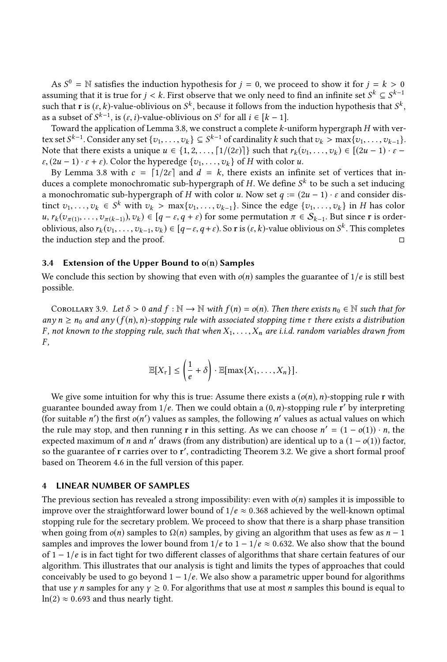As  $S^0 = \mathbb{N}$  satisfies the induction hypothesis for  $j = 0$ , we proceed to show it for  $j = k > 0$ <br>suming that it is true for  $i < k$ . First observe that we only need to find an infinite set  $S^k \subset S^{k-1}$ assuming that it is true for  $j < k$ . First observe that we only need to find an infinite set  $S^k \subseteq S^{k-1}$ <br>such that **r** is (s k)-value-oblivious on  $S^k$  because it follows from the induction bypothesis that  $S^k$ such that **r** is  $(\varepsilon, k)$ -value-oblivious on  $S^k$ , because it follows from the induction hypothesis that  $S^k$ ,<br>as a subset of  $S^{k-1}$  is  $(\varepsilon, i)$ -value-oblivious on  $S^i$  for all  $i \in [k-1]$ as a subset of  $S^{k-1}$ , is  $(\varepsilon, i)$ -value-oblivious on  $S^i$  for all  $i \in [k-1]$ .<br>Toward the application of Lemma 3.8, we construct a complete  $k-1$ 

Toward the application of Lemma [3.8,](#page-7-2) we construct a complete k-uniform hypergraph H with vertex set  $S^{k-1}$ . Consider any set  $\{v_1, \ldots, v_k\} \subseteq S^{k-1}$  of cardinality k such that  $v_k > \max\{v_1, \ldots, v_{k-1}\}\$ .<br>Note that there exists a unique  $u \in I_1$   $\subseteq$   $\lceil 1/(2\varepsilon) \rceil$  such that  $r_1(x_1, \ldots, x_k) \in \lceil (2u-1), \varepsilon - 1 \r$ Note that there exists a unique  $u \in \{1, 2, \ldots, \lceil 1/(2\varepsilon) \rceil\}$  such that  $r_k(v_1, \ldots, v_k) \in [(2u - 1) \cdot \varepsilon \varepsilon$ ,  $(2u - 1) \cdot \varepsilon + \varepsilon$ ). Color the hyperedge  $\{v_1, \ldots, v_k\}$  of H with color u.

By Lemma [3.8](#page-7-2) with  $c = \lfloor 1/2\varepsilon \rfloor$  and  $d = k$ , there exists an infinite set of vertices that induces a complete monochromatic sub-hypergraph of H. We define  $S^k$  to be such a set inducing<br>a monochromatic sub-hypergraph of H with color u. Now set  $a := (2u - 1)$ , s and consider disa monochromatic sub-hypergraph of H with color u. Now set  $q := (2u - 1) \cdot \varepsilon$  and consider distinct  $v_1, \ldots, v_k \in S^k$  with  $v_k > \max\{v_1, \ldots, v_{k-1}\}\)$ . Since the edge  $\{v_1, \ldots, v_k\}$  in H has color  $u, r_k(v_{\pi(1)}, \ldots, v_{\pi(k-1)}, v_k) \in [q - \varepsilon, q + \varepsilon)$  for some permutation  $\pi \in S_{k-1}$ . But since r is order-<br>obligation also reference in  $\pi$ ,  $v_k$ ,  $v_k$ ,  $\varepsilon$ ,  $\pi$  is  $\pi$  is  $\pi$ ,  $\varepsilon$ ,  $\varepsilon$ ,  $\varepsilon$ ,  $\varepsilon$ ,  $\varepsilon$ ,  $\varepsilon$ , oblivious, also  $r_k(v_1, \ldots, v_{k-1}, v_k) \in [q - \varepsilon, q + \varepsilon)$ . So **r** is  $(\varepsilon, k)$ -value oblivious on  $S^k$ . This completes the induction step and the proof. □

#### 3.4 Extension of the Upper Bound to  $o(n)$  Samples

We conclude this section by showing that even with  $o(n)$  samples the guarantee of  $1/e$  is still best possible.

COROLLARY 3.9. Let  $\delta > 0$  and  $f : \mathbb{N} \to \mathbb{N}$  with  $f(n) = o(n)$ . Then there exists  $n_0 \in \mathbb{N}$  such that for any  $n \ge n_0$  and any  $(f(n), n)$ -stopping rule with associated stopping time  $\tau$  there exists a distribution F, not known to the stopping rule, such that when  $X_1, \ldots, X_n$  are i.i.d. random variables drawn from  $F$ ,

$$
\mathbb{E}[X_{\tau}] \leq \left(\frac{1}{e} + \delta\right) \cdot \mathbb{E}[\max\{X_1, \ldots, X_n\}].
$$

We give some intuition for why this is true: Assume there exists a  $(o(n), n)$ -stopping rule r with guarantee bounded away from  $1/e$ . Then we could obtain a  $(0, n)$ -stopping rule r' by interpreting  $f(r)$  suitable r') the first  $g(r')$  values as samples, the following r' values as actual values on which (for suitable *n'*) the first  $o(n')$  values as samples, the following *n'* values as actual values on which the rule may stop and then running **r** in this setting. As we can choose  $n' = (1 - o(1)) \cdot n$  the the rule may stop, and then running **r** in this setting. As we can choose  $n' = (1 - o(1)) \cdot n$ , the expected maximum of *n* and *n'* draws (from any distribution) are identical up to a  $(1 - o(1))$  factor expected maximum of *n* and *n'* draws (from any distribution) are identical up to a  $(1 - o(1))$  factor, so the guarantee of r carries over to r' contradicting Theorem 3.2. We give a short formal proof so the guarantee of r carries over to r ′ , contradicting Theorem [3.2.](#page-5-0) We give a short formal proof based on Theorem [4.6](#page-12-0) in the full version of this paper.

#### <span id="page-8-0"></span>4 LINEAR NUMBER OF SAMPLES

The previous section has revealed a strong impossibility: even with  $o(n)$  samples it is impossible to improve over the straightforward lower bound of  $1/e \approx 0.368$  achieved by the well-known optimal stopping rule for the secretary problem. We proceed to show that there is a sharp phase transition when going from  $o(n)$  samples to  $\Omega(n)$  samples, by giving an algorithm that uses as few as  $n-1$ samples and improves the lower bound from  $1/e$  to  $1 - 1/e \approx 0.632$ . We also show that the bound of  $1 - 1/e$  is in fact tight for two different classes of algorithms that share certain features of our algorithm. This illustrates that our analysis is tight and limits the types of approaches that could conceivably be used to go beyond  $1 - 1/e$ . We also show a parametric upper bound for algorithms that use  $\gamma$  n samples for any  $\gamma \geq 0$ . For algorithms that use at most n samples this bound is equal to  $ln(2) \approx 0.693$  and thus nearly tight.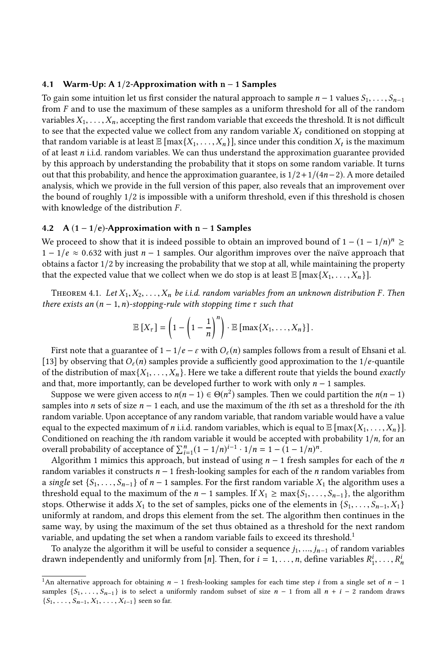#### 4.1 Warm-Up: A 1/2-Approximation with n − 1 Samples

To gain some intuition let us first consider the natural approach to sample  $n-1$  values  $S_1, \ldots, S_{n-1}$ from F and to use the maximum of these samples as a uniform threshold for all of the random variables  $X_1, \ldots, X_n$ , accepting the first random variable that exceeds the threshold. It is not difficult to see that the expected value we collect from any random variable  $X_t$  conditioned on stopping at that random variable is at least  $\mathbb{E}[\max\{X_1, \ldots, X_n\}]$ , since under this condition  $X_t$  is the maximum of at least n i i d, random variables. We can thus understand the approximation guarantee provided of at least  $n$  i.i.d. random variables. We can thus understand the approximation guarantee provided by this approach by understanding the probability that it stops on some random variable. It turns out that this probability, and hence the approximation guarantee, is  $1/2+1/(4n-2)$ . A more detailed analysis, which we provide in the full version of this paper, also reveals that an improvement over the bound of roughly 1/2 is impossible with a uniform threshold, even if this threshold is chosen with knowledge of the distribution  $F$ .

## 4.2 A  $(1 - 1/e)$ -Approximation with n – 1 Samples

We proceed to show that it is indeed possible to obtain an improved bound of  $1 - (1 - 1/n)^n \ge 1 - 1/e \approx 0.632$  with just  $n - 1$  samples. Our algorithm improves over the naïve approach that  $1 - 1/e \approx 0.632$  with just  $n - 1$  samples. Our algorithm improves over the naïve approach that obtains a factor 1/2 by increasing the probability that we stop at all, while maintaining the property that the expected value that we collect when we do stop is at least  $\mathbb{E} \left[ \max\{X_1, \ldots, X_n\} \right]$ .

<span id="page-9-0"></span>THEOREM 4.1. Let  $X_1, X_2, \ldots, X_n$  be i.i.d. random variables from an unknown distribution F. Then there exists an  $(n - 1, n)$ -stopping-rule with stopping time  $\tau$  such that

$$
\mathbb{E}[X_{\tau}]=\left(1-\left(1-\frac{1}{n}\right)^n\right)\cdot \mathbb{E}\left[\max\{X_1,\ldots,X_n\}\right].
$$

First note that a guarantee of  $1 - 1/e - \varepsilon$  with  $O_{\varepsilon}(n)$  samples follows from a result of Ehsani et al. [\[13\]](#page-14-21) by observing that  $O_{\varepsilon}(n)$  samples provide a sufficiently good approximation to the 1/e-quantile of the distribution of  $\max\{X_1, \ldots, X_n\}$ . Here we take a different route that yields the bound *exactly* and that, more importantly, can be developed further to work with only  $n - 1$  samples.

Suppose we were given access to  $n(n-1) \in \Theta(n^2)$  samples. Then we could partition the  $n(n-1)$ <br>mples into *n* sets of size  $n-1$  each, and use the maximum of the *i*th set as a threshold for the *i*th samples into *n* sets of size  $n - 1$  each, and use the maximum of the *i*th set as a threshold for the *i*th random variable. Upon acceptance of any random variable, that random variable would have a value equal to the expected maximum of *n* i.i.d. random variables, which is equal to  $\mathbb{E} \left[ \max\{X_1, \ldots, X_n\} \right]$ . Conditioned on reaching the *i*th random variable it would be accepted with probability  $1/n$ , for an overall probability of acceptance of  $\sum_{i=1}^{n} (1 - 1/n)^{i-1} \cdot 1/n = 1 - (1 - 1/n)^n$ .<br>Algorithm 1 mimics this approach but instead of using  $n = 1$  fresh same

Algorithm [1](#page-10-0) mimics this approach, but instead of using  $n - 1$  fresh samples for each of the n random variables it constructs  $n - 1$  fresh-looking samples for each of the *n* random variables from a single set  $\{S_1, \ldots, S_{n-1}\}\$  of  $n-1$  samples. For the first random variable  $X_1$  the algorithm uses a threshold equal to the maximum of the  $n - 1$  samples. If  $X_1 \ge \max\{S_1, \ldots, S_{n-1}\}$ , the algorithm stops. Otherwise it adds  $X_1$  to the set of samples, picks one of the elements in  $\{S_1, \ldots, S_{n-1}, X_1\}$ uniformly at random, and drops this element from the set. The algorithm then continues in the same way, by using the maximum of the set thus obtained as a threshold for the next random variable, and updating the set when a random variable fails to exceed its threshold.<sup>[1](#page-9-1)</sup>

To analyze the algorithm it will be useful to consider a sequence  $j_1, ..., j_{n-1}$  of random variables drawn independently and uniformly from [n]. Then, for  $i = 1, ..., n$ , define variables  $R_1^i, ..., R_n^i$ 

<span id="page-9-1"></span><sup>&</sup>lt;sup>1</sup>An alternative approach for obtaining  $n - 1$  fresh-looking samples for each time step *i* from a single set of  $n - 1$ samples  $\{S_1, \ldots, S_{n-1}\}\$ is to select a uniformly random subset of size  $n-1$  from all  $n+i-2$  random draws  ${S_1, \ldots, S_{n-1}, X_1, \ldots, X_{i-1}}$  seen so far.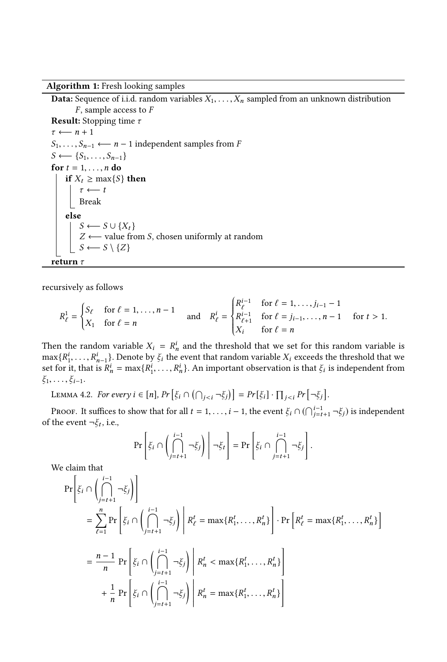Algorithm 1: Fresh looking samples

**Data:** Sequence of i.i.d. random variables  $X_1, \ldots, X_n$  sampled from an unknown distribution  $F$ , sample access to  $F$ **Result:** Stopping time  $\tau$  $\tau \longleftarrow n+1$  $S_1, \ldots, S_{n-1} \longleftarrow n-1$  independent samples from F  $S \longleftarrow \{S_1, \ldots, S_{n-1}\}$ for  $t = 1, \ldots, n$  do if  $X_t \geq \max\{S\}$  then  $\tau \longleftarrow t$ Break else  $S \leftarrow S \cup \{X_t\}$ <br>  $Z \leftarrow \text{value frac}$  $Z \leftarrow$  value from *S*, chosen uniformly at random  $S \leftarrow S \setminus \{Z\}$  $S \longleftarrow S \setminus \{Z\}$ return  $\tau$ 

recursively as follows

<span id="page-10-0"></span>
$$
R_{\ell}^{1} = \begin{cases} S_{\ell} & \text{for } \ell = 1, ..., n - 1 \\ X_{1} & \text{for } \ell = n \end{cases} \text{ and } R_{\ell}^{i} = \begin{cases} R_{\ell}^{i-1} & \text{for } \ell = 1, ..., j_{i-1} - 1 \\ R_{\ell+1}^{i-1} & \text{for } \ell = j_{i-1}, ..., n - 1 \\ X_{i} & \text{for } \ell = n \end{cases} \text{ for } t > 1.
$$

Then the random variable  $X_i = R_n^i$  and the threshold that we set for this random variable is  $\max_{i} R_i^i = R_i^i$ . Denote by  $\mathcal{E}_i$ , the event that random variable  $X_i$  exceeds the threshold that we  $\max\{R_1^i,\ldots,R_{n-1}^i\}$ . Denote by  $\xi_i$  the event that random variable  $X_i$  exceeds the threshold that we set for it that is  $R_i^i = \max\{R_i^i\}$ . An important observation is that  $\xi_i$  is independent from  $\max\{R_1^i, \ldots, R_{n-1}^i\}$ . Denote by  $\xi_i$  the event that random variable  $X_i$  exceeds the threshold that we set for it, that is  $R_n^i = \max\{R_1^i, \ldots, R_n^i\}$ . An important observation is that  $\xi_i$  is independent from  $\xi_1, \ldots, \xi_{i-1}.$ 

<span id="page-10-1"></span>LEMMA 4.2. For every  $i \in [n]$ ,  $Pr\left[\xi_i \cap (\bigcap_{j < i} \neg \xi_j)\right] = Pr[\xi_i] \cdot \prod_{j < i} Pr[\neg \xi_j]$ .

PROOF. It suffices to show that for all  $t = 1, ..., i - 1$ , the event  $\xi_i \cap (\bigcap_{j=t+1}^{i-1} \neg \xi_j)$  is independent the event  $\neg \xi_i$  i.e. of the event  $\neg \xi_t$ , i.e.,

$$
\Pr\left[\xi_i \cap \left(\bigcap_{j=t+1}^{i-1} \neg \xi_j\right)\middle| \neg \xi_t\right] = \Pr\left[\xi_i \cap \bigcap_{j=t+1}^{i-1} \neg \xi_j\right].
$$

We claim that

$$
\Pr\left[\xi_i \cap \left(\bigcap_{j=t+1}^{i-1} \neg \xi_j\right)\right]
$$
\n
$$
= \sum_{\ell=1}^n \Pr\left[\xi_i \cap \left(\bigcap_{j=t+1}^{i-1} \neg \xi_j\right) \middle| R_{\ell}^t = \max\{R_1^t, \dots, R_n^t\}\right] \cdot \Pr\left[R_{\ell}^t = \max\{R_1^t, \dots, R_n^t\}\right]
$$
\n
$$
= \frac{n-1}{n} \Pr\left[\xi_i \cap \left(\bigcap_{j=t+1}^{i-1} \neg \xi_j\right) \middle| R_n^t < \max\{R_1^t, \dots, R_n^t\}\right]
$$
\n
$$
+ \frac{1}{n} \Pr\left[\xi_i \cap \left(\bigcap_{j=t+1}^{i-1} \neg \xi_j\right) \middle| R_n^t = \max\{R_1^t, \dots, R_n^t\}\right]
$$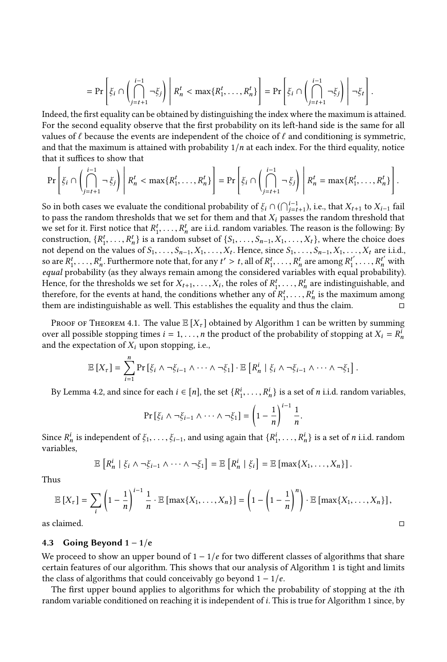$$
= \Pr\left[\xi_i \cap \left(\bigcap_{j=t+1}^{i-1} \neg \xi_j\right) \middle| R_n^t < \max\{R_1^t, \dots, R_n^t\}\right] = \Pr\left[\xi_i \cap \left(\bigcap_{j=t+1}^{i-1} \neg \xi_j\right) \middle| \neg \xi_t\right].
$$

Indeed, the first equality can be obtained by distinguishing the index where the maximum is attained. For the second equality observe that the first probability on its left-hand side is the same for all values of  $\ell$  because the events are independent of the choice of  $\ell$  and conditioning is symmetric, and that the maximum is attained with probability  $1/n$  at each index. For the third equality, notice that it suffices to show that

$$
\Pr\left[\xi_i \cap \left(\bigcap_{j=t+1}^{i-1} \neg \xi_j\right) \middle| R_n^t < \max\{R_1^t, \dots, R_n^t\}\right] = \Pr\left[\xi_i \cap \left(\bigcap_{j=t+1}^{i-1} \neg \xi_j\right) \middle| R_n^t = \max\{R_1^t, \dots, R_n^t\}\right].
$$

So in both cases we evaluate the conditional probability of  $\xi_i \cap (\bigcap_{j=t+1}^{i-1})$ , i.e., that  $X_{t+1}$  to  $X_{i-1}$  fail<br>to pass the random thresholds that we set for them and that X, passes the random threshold that to pass the random thresholds that we set for them and that  $X_i$  passes the random threshold that we set for it. First notice that  $R_1^t, \ldots, R_n^t$  are i.i.d. random variables. The reason is the following: By<br>construction  $\{R^t\}$  is a random subset of  $\{S_n, S_n, S_n, X_n\}$  where the choice does  $R_1^t, \ldots, R_n^t$  is a random subset of  $\{S_1, \ldots, S_{n-1}, X_1, \ldots, X_t\}$ , where the choice does<br>not depend on the values of  $S_1, \ldots, S_{n-1}$ ,  $X_1, \ldots, X_t\}$ , where the choice does not depend on the values of  $S_1, \ldots, S_{n-1}, X_1, \ldots, X_t$ . Hence, since  $S_1, \ldots, S_{n-1}, X_1, \ldots, X_t$  are i.i.d., so are  $R_1^t, \ldots, R_n^t$ . Furthermore note that, for any  $t' > t$ , all of  $R_1^t, \ldots, R_n^t$  are among  $R_1^{t'}, \ldots, R_n^{t'}$  with  $equal$  probability (as they always remain among the considered variables with equal probability). Hence, for the thresholds we set for  $X_{t+1}, \ldots, X_i$ , the roles of  $R_1^t, \ldots, R_n^t$  are indistinguishable, and therefore for the events at hand, the conditions whether any of  $R^t$  is the maximum among therefore, for the events at hand, the conditions whether any of  $R_1^t, \ldots, R_n^t$  is the maximum among<br>them are indictinguishable as well. This establishes the equality and thus the claim them are indistinguishable as well. This establishes the equality and thus the claim.  $\Box$ 

PROOF OF THEOREM [4.1.](#page-9-0) The value  $\mathbb{E}[X_{\tau}]$  obtained by Algorithm [1](#page-10-0) can be written by summing over all possible stopping times  $i = 1, ..., n$  the product of the probability of stopping at  $X_i = R_i^i$ and the expectation of  $X_i$  upon stopping, i.e.,

$$
\mathbb{E}\left[X_{\tau}\right]=\sum_{i=1}^{n}\Pr\left[\xi_{i}\wedge\neg\xi_{i-1}\wedge\cdots\wedge\neg\xi_{1}\right]\cdot\mathbb{E}\left[R_{n}^{i}\mid\xi_{i}\wedge\neg\xi_{i-1}\wedge\cdots\wedge\neg\xi_{1}\right].
$$

By Lemma [4.2,](#page-10-1) and since for each  $i \in [n]$ , the set  $\{R_1^i, \ldots, R_n^i\}$  is a set of *n* i.i.d. random variables,

$$
\Pr\left[\xi_i \wedge \neg \xi_{i-1} \wedge \cdots \wedge \neg \xi_1\right] = \left(1 - \frac{1}{n}\right)^{i-1} \frac{1}{n}.
$$

Since  $R_n^i$  is independent of  $\xi_1, \ldots, \xi_{i-1}$ , and using again that  $\{R_1^i, \ldots, R_n^i\}$  is a set of *n* i.i.d. random variables variables.

$$
\mathbb{E}\left[R_n^i \mid \xi_i \wedge \neg \xi_{i-1} \wedge \cdots \wedge \neg \xi_1\right] = \mathbb{E}\left[R_n^i \mid \xi_i\right] = \mathbb{E}\left[\max\{X_1,\ldots,X_n\}\right].
$$

Thus

$$
\mathbb{E}\left[X_{\tau}\right] = \sum_{i} \left(1 - \frac{1}{n}\right)^{i-1} \frac{1}{n} \cdot \mathbb{E}\left[\max\{X_1, \ldots, X_n\}\right] = \left(1 - \left(1 - \frac{1}{n}\right)^n\right) \cdot \mathbb{E}\left[\max\{X_1, \ldots, X_n\}\right],
$$
as claimed.

#### 4.3 Going Beyond  $1 - 1/e$

We proceed to show an upper bound of  $1 - 1/e$  for two different classes of algorithms that share certain features of our algorithm. This shows that our analysis of Algorithm [1](#page-10-0) is tight and limits the class of algorithms that could conceivably go beyond  $1 - 1/e$ .

The first upper bound applies to algorithms for which the probability of stopping at the ith random variable conditioned on reaching it is independent of i. This is true for Algorithm [1](#page-10-0) since, by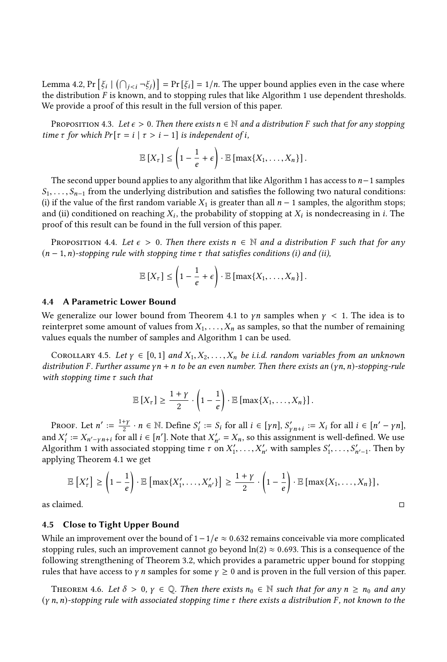Lemma [4.2,](#page-10-1)  $Pr\left[\xi_i \mid (\bigcap_{j \leq i} \neg \xi_j)\right] = Pr\left[\xi_i\right] = 1/n$ . The upper bound applies even in the case where the distribution F is known, and to stopping rules that like Algorithm [1](#page-10-0) use dependent thresholds. We provide a proof of this result in the full version of this paper.

PROPOSITION 4.3. Let  $\epsilon > 0$ . Then there exists  $n \in \mathbb{N}$  and a distribution F such that for any stopping time  $\tau$  for which  $Pr[\tau = i | \tau > i - 1]$  is independent of i,

$$
\mathbb{E}[X_{\tau}] \leq \left(1 - \frac{1}{e} + \epsilon\right) \cdot \mathbb{E}\left[\max\{X_1, \ldots, X_n\}\right].
$$

The second upper bound applies to any algorithm that like Algorithm [1](#page-10-0) has access to n−<sup>1</sup> samples  $S_1, \ldots, S_{n-1}$  from the underlying distribution and satisfies the following two natural conditions: (i) if the value of the first random variable  $X_1$  is greater than all  $n-1$  samples, the algorithm stops; and (ii) conditioned on reaching  $X_i$ , the probability of stopping at  $X_i$  is nondecreasing in i. The proof of this result can be found in the full version of this paper. proof of this result can be found in the full version of this paper.

PROPOSITION 4.4. Let  $\epsilon > 0$ . Then there exists  $n \in \mathbb{N}$  and a distribution F such that for any  $(n-1, n)$ -stopping rule with stopping time  $\tau$  that satisfies conditions (i) and (ii),

$$
\mathbb{E}[X_{\tau}] \leq \left(1 - \frac{1}{e} + \epsilon\right) \cdot \mathbb{E}\left[\max\{X_1, \ldots, X_n\}\right].
$$

#### 4.4 A Parametric Lower Bound

We generalize our lower bound from Theorem [4.1](#page-9-0) to  $\gamma n$  samples when  $\gamma$  < 1. The idea is to reinterpret some amount of values from  $X_1, \ldots, X_n$  as samples, so that the number of remaining values equals the number of samples and Algorithm [1](#page-10-0) can be used.

<span id="page-12-1"></span>COROLLARY 4.5. Let  $\gamma \in [0,1]$  and  $X_1, X_2, \ldots, X_n$  be i.i.d. random variables from an unknown distribution F. Further assume  $\gamma n + n$  to be an even number. Then there exists an  $(\gamma n, n)$ -stopping-rule with stopping time  $\tau$  such that

$$
\mathbb{E}\left[X_{\tau}\right] \geq \frac{1+\gamma}{2} \cdot \left(1-\frac{1}{e}\right) \cdot \mathbb{E}\left[\max\{X_1,\ldots,X_n\}\right].
$$

PROOF. Let  $n' := \frac{1+y}{2} \cdot n \in \mathbb{N}$ . Define  $S_i' := S_i$  for all  $i \in [\gamma n]$ ,  $S_{\gamma n+i}' := X_i$  for all  $i \in [n'-\gamma n]$ ,<br>d  $Y' := Y$ , such a for all  $i \in [n']$ . Note that  $Y' = Y$  so this assignment is well-defined. We use and  $X'_i := X_{n'-\gamma n+i}$  for all  $i \in [n']$ . Note that  $X'_{n'} = X_n$ , so this assignment is well-defined. We use<br>Algorithm 1 with associated stopping time  $\tau$  on  $X'$  with samples  $S'$  s' Then by Algorithm [1](#page-10-0) with associated stopping time  $\tau$  on  $X'_1, \ldots, X$ <br>applying Theorem 4.1 we get  $'_{n'}$  with samples  $S'_1, \ldots, S'_n$  $\zeta_{n'-1}$ . Then by applying Theorem [4.1](#page-9-0) we get

$$
\mathbb{E}\left[X'_{\tau}\right] \geq \left(1-\frac{1}{e}\right) \cdot \mathbb{E}\left[\max\{X'_{1},\ldots,X'_{n'}\}\right] \geq \frac{1+\gamma}{2} \cdot \left(1-\frac{1}{e}\right) \cdot \mathbb{E}\left[\max\{X_{1},\ldots,X_{n}\}\right],
$$

as claimed.  $\Box$ 

#### 4.5 Close to Tight Upper Bound

While an improvement over the bound of  $1-1/e \approx 0.632$  remains conceivable via more complicated stopping rules, such an improvement cannot go beyond  $ln(2) \approx 0.693$ . This is a consequence of the following strengthening of Theorem [3.2,](#page-5-0) which provides a parametric upper bound for stopping rules that have access to  $\gamma$  n samples for some  $\gamma \geq 0$  and is proven in the full version of this paper.

<span id="page-12-0"></span>THEOREM 4.6. Let  $\delta > 0$ ,  $\gamma \in \mathbb{Q}$ . Then there exists  $n_0 \in \mathbb{N}$  such that for any  $n \ge n_0$  and any  $(\gamma n, n)$ -stopping rule with associated stopping time  $\tau$  there exists a distribution F, not known to the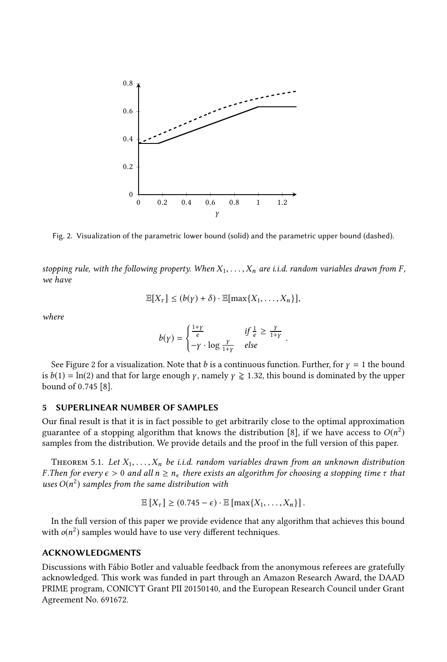<span id="page-13-2"></span>

Fig. 2. Visualization of the parametric lower bound (solid) and the parametric upper bound (dashed).

stopping rule, with the following property. When  $X_1, \ldots, X_n$  are i.i.d. random variables drawn from F, we have

$$
\mathbb{E}[X_{\tau}] \le (b(\gamma) + \delta) \cdot \mathbb{E}[\max\{X_1, \ldots, X_n\}],
$$

where

$$
b(\gamma) = \begin{cases} \frac{1+\gamma}{e} & \text{if } \frac{1}{e} \ge \frac{\gamma}{1+\gamma} \\ -\gamma \cdot \log \frac{\gamma}{1+\gamma} & \text{else} \end{cases}
$$

See Figure [2](#page-13-2) for a visualization. Note that b is a continuous function. Further, for  $\gamma = 1$  the bound is  $b(1) = \ln(2)$  and that for large enough *γ*, namely  $\gamma \ge 1.32$ , this bound is dominated by the upper bound of <sup>0</sup>.<sup>745</sup> [\[8\]](#page-14-9).

## <span id="page-13-1"></span>5 SUPERLINEAR NUMBER OF SAMPLES

Our final result is that it is in fact possible to get arbitrarily close to the optimal approximation guarantee of a stopping algorithm that knows the distribution [\[8\]](#page-14-9), if we have access to  $O(n^2)$ <br>samples from the distribution. We provide details and the proof in the full version of this paper. samples from the distribution. We provide details and the proof in the full version of this paper.

<span id="page-13-0"></span>THEOREM 5.1. Let  $X_1, \ldots, X_n$  be i.i.d. random variables drawn from an unknown distribution F.Then for every  $\epsilon > 0$  and all  $n \ge n_{\epsilon}$  there exists an algorithm for choosing a stopping time  $\tau$  that uses  $O(n^2)$  samples from the same distribution with

$$
\mathbb{E}[X_{\tau}] \geq (0.745 - \epsilon) \cdot \mathbb{E}[\max\{X_1, \ldots, X_n\}].
$$

In the full version of this paper we provide evidence that any algorithm that achieves this bound with  $o(n^2)$  samples would have to use very different techniques.

## ACKNOWLEDGMENTS

Discussions with Fábio Botler and valuable feedback from the anonymous referees are gratefully acknowledged. This work was funded in part through an Amazon Research Award, the DAAD PRIME program, CONICYT Grant PII 20150140, and the European Research Council under Grant Agreement No. 691672.